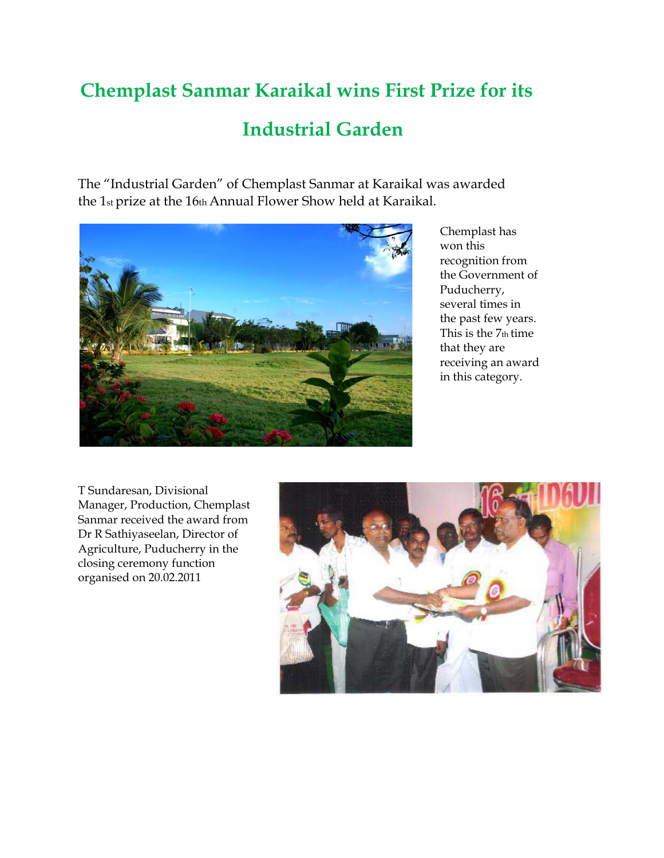## **Chemplast Sanmar Karaikal wins First Prize for its**

## **Industrial Garden**

The "Industrial Garden" of Chemplast Sanmar at Karaikal was awarded the 1st prize at the 16th Annual Flower Show held at Karaikal.



Chemplast has won this recognition from the Government of Puducherry, several times in the past few years. This is the 7th time that they are receiving an award in this category.

T Sundaresan, Divisional Manager, Production, Chemplast Sanmar received the award from Dr R Sathiyaseelan, Director of Agriculture, Puducherry in the closing ceremony function organised on 20.02.2011